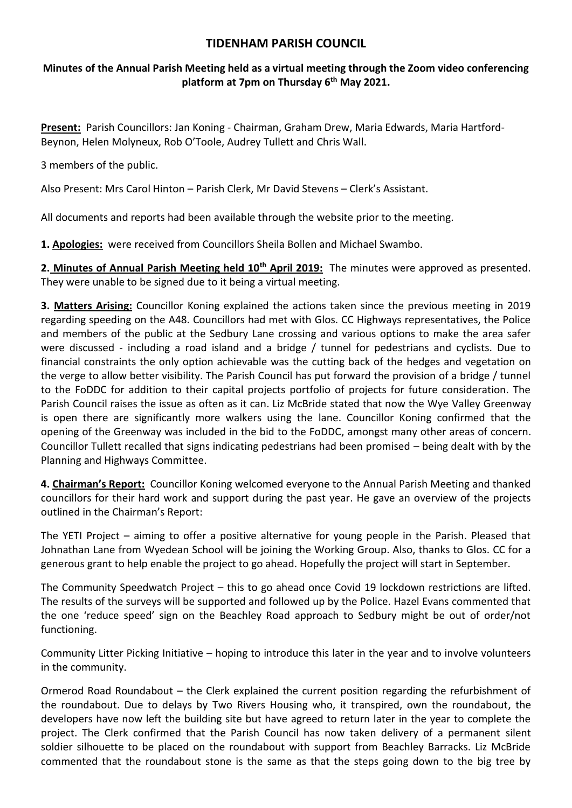## **TIDENHAM PARISH COUNCIL**

## **Minutes of the Annual Parish Meeting held as a virtual meeting through the Zoom video conferencing platform at 7pm on Thursday 6 th May 2021.**

**Present:** Parish Councillors: Jan Koning - Chairman, Graham Drew, Maria Edwards, Maria Hartford-Beynon, Helen Molyneux, Rob O'Toole, Audrey Tullett and Chris Wall.

3 members of the public.

Also Present: Mrs Carol Hinton – Parish Clerk, Mr David Stevens – Clerk's Assistant.

All documents and reports had been available through the website prior to the meeting.

**1. Apologies:** were received from Councillors Sheila Bollen and Michael Swambo.

**2. Minutes of Annual Parish Meeting held 10th April 2019:** The minutes were approved as presented. They were unable to be signed due to it being a virtual meeting.

**3. Matters Arising:** Councillor Koning explained the actions taken since the previous meeting in 2019 regarding speeding on the A48. Councillors had met with Glos. CC Highways representatives, the Police and members of the public at the Sedbury Lane crossing and various options to make the area safer were discussed - including a road island and a bridge / tunnel for pedestrians and cyclists. Due to financial constraints the only option achievable was the cutting back of the hedges and vegetation on the verge to allow better visibility. The Parish Council has put forward the provision of a bridge / tunnel to the FoDDC for addition to their capital projects portfolio of projects for future consideration. The Parish Council raises the issue as often as it can. Liz McBride stated that now the Wye Valley Greenway is open there are significantly more walkers using the lane. Councillor Koning confirmed that the opening of the Greenway was included in the bid to the FoDDC, amongst many other areas of concern. Councillor Tullett recalled that signs indicating pedestrians had been promised – being dealt with by the Planning and Highways Committee.

**4. Chairman's Report:** Councillor Koning welcomed everyone to the Annual Parish Meeting and thanked councillors for their hard work and support during the past year. He gave an overview of the projects outlined in the Chairman's Report:

The YETI Project – aiming to offer a positive alternative for young people in the Parish. Pleased that Johnathan Lane from Wyedean School will be joining the Working Group. Also, thanks to Glos. CC for a generous grant to help enable the project to go ahead. Hopefully the project will start in September.

The Community Speedwatch Project – this to go ahead once Covid 19 lockdown restrictions are lifted. The results of the surveys will be supported and followed up by the Police. Hazel Evans commented that the one 'reduce speed' sign on the Beachley Road approach to Sedbury might be out of order/not functioning.

Community Litter Picking Initiative – hoping to introduce this later in the year and to involve volunteers in the community.

Ormerod Road Roundabout – the Clerk explained the current position regarding the refurbishment of the roundabout. Due to delays by Two Rivers Housing who, it transpired, own the roundabout, the developers have now left the building site but have agreed to return later in the year to complete the project. The Clerk confirmed that the Parish Council has now taken delivery of a permanent silent soldier silhouette to be placed on the roundabout with support from Beachley Barracks. Liz McBride commented that the roundabout stone is the same as that the steps going down to the big tree by